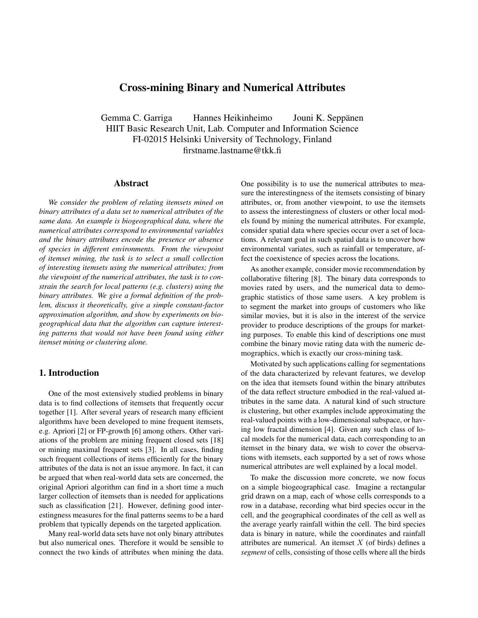# Cross-mining Binary and Numerical Attributes

Gemma C. Garriga ilanes Heikinheimo Jouni K. Seppänen HIIT Basic Research Unit, Lab. Computer and Information Science FI-02015 Helsinki University of Technology, Finland firstname.lastname@tkk.fi

#### Abstract

*We consider the problem of relating itemsets mined on binary attributes of a data set to numerical attributes of the same data. An example is biogeographical data, where the numerical attributes correspond to environmental variables and the binary attributes encode the presence or absence of species in different environments. From the viewpoint of itemset mining, the task is to select a small collection of interesting itemsets using the numerical attributes; from the viewpoint of the numerical attributes, the task is to constrain the search for local patterns (e.g. clusters) using the binary attributes. We give a formal definition of the problem, discuss it theoretically, give a simple constant-factor approximation algorithm, and show by experiments on biogeographical data that the algorithm can capture interesting patterns that would not have been found using either itemset mining or clustering alone.*

## 1. Introduction

One of the most extensively studied problems in binary data is to find collections of itemsets that frequently occur together [1]. After several years of research many efficient algorithms have been developed to mine frequent itemsets, e.g. Apriori [2] or FP-growth [6] among others. Other variations of the problem are mining frequent closed sets [18] or mining maximal frequent sets [3]. In all cases, finding such frequent collections of items efficiently for the binary attributes of the data is not an issue anymore. In fact, it can be argued that when real-world data sets are concerned, the original Apriori algorithm can find in a short time a much larger collection of itemsets than is needed for applications such as classification [21]. However, defining good interestingness measures for the final patterns seems to be a hard problem that typically depends on the targeted application.

Many real-world data sets have not only binary attributes but also numerical ones. Therefore it would be sensible to connect the two kinds of attributes when mining the data.

One possibility is to use the numerical attributes to measure the interestingness of the itemsets consisting of binary attributes, or, from another viewpoint, to use the itemsets to assess the interestingness of clusters or other local models found by mining the numerical attributes. For example, consider spatial data where species occur over a set of locations. A relevant goal in such spatial data is to uncover how environmental variates, such as rainfall or temperature, affect the coexistence of species across the locations.

As another example, consider movie recommendation by collaborative filtering [8]. The binary data corresponds to movies rated by users, and the numerical data to demographic statistics of those same users. A key problem is to segment the market into groups of customers who like similar movies, but it is also in the interest of the service provider to produce descriptions of the groups for marketing purposes. To enable this kind of descriptions one must combine the binary movie rating data with the numeric demographics, which is exactly our cross-mining task.

Motivated by such applications calling for segmentations of the data characterized by relevant features, we develop on the idea that itemsets found within the binary attributes of the data reflect structure embodied in the real-valued attributes in the same data. A natural kind of such structure is clustering, but other examples include approximating the real-valued points with a low-dimensional subspace, or having low fractal dimension [4]. Given any such class of local models for the numerical data, each corresponding to an itemset in the binary data, we wish to cover the observations with itemsets, each supported by a set of rows whose numerical attributes are well explained by a local model.

To make the discussion more concrete, we now focus on a simple biogeographical case. Imagine a rectangular grid drawn on a map, each of whose cells corresponds to a row in a database, recording what bird species occur in the cell, and the geographical coordinates of the cell as well as the average yearly rainfall within the cell. The bird species data is binary in nature, while the coordinates and rainfall attributes are numerical. An itemset  $X$  (of birds) defines a *segment* of cells, consisting of those cells where all the birds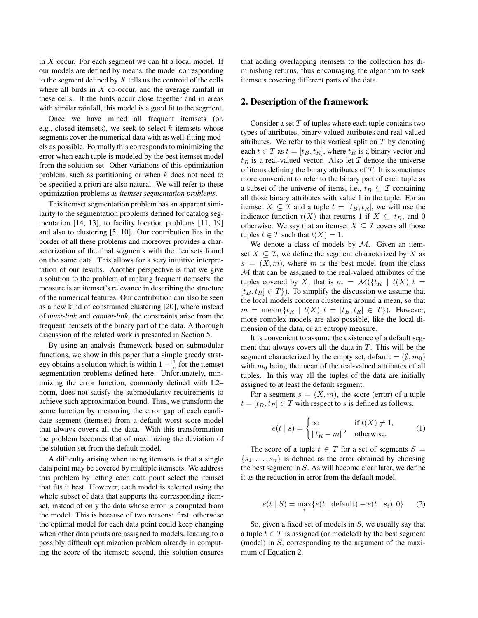in  $X$  occur. For each segment we can fit a local model. If our models are defined by means, the model corresponding to the segment defined by  $X$  tells us the centroid of the cells where all birds in  $X$  co-occur, and the average rainfall in these cells. If the birds occur close together and in areas with similar rainfall, this model is a good fit to the segment.

Once we have mined all frequent itemsets (or, e.g., closed itemsets), we seek to select  $k$  itemsets whose segments cover the numerical data with as well-fitting models as possible. Formally this corresponds to minimizing the error when each tuple is modeled by the best itemset model from the solution set. Other variations of this optimization problem, such as partitioning or when  $k$  does not need to be specified a priori are also natural. We will refer to these optimization problems as *itemset segmentation problems*.

This itemset segmentation problem has an apparent similarity to the segmentation problems defined for catalog segmentation [14, 13], to facility location problems [11, 19] and also to clustering [5, 10]. Our contribution lies in the border of all these problems and moreover provides a characterization of the final segments with the itemsets found on the same data. This allows for a very intuitive interpretation of our results. Another perspective is that we give a solution to the problem of ranking frequent itemsets: the measure is an itemset's relevance in describing the structure of the numerical features. Our contribution can also be seen as a new kind of constrained clustering [20], where instead of *must-link* and *cannot-link*, the constraints arise from the frequent itemsets of the binary part of the data. A thorough discussion of the related work is presented in Section 5.

By using an analysis framework based on submodular functions, we show in this paper that a simple greedy strategy obtains a solution which is within  $1 - \frac{1}{e}$  for the itemset segmentation problems defined here. Unfortunately, minimizing the error function, commonly defined with L2– norm, does not satisfy the submodularity requirements to achieve such approximation bound. Thus, we transform the score function by measuring the error gap of each candidate segment (itemset) from a default worst-score model that always covers all the data. With this transformation the problem becomes that of maximizing the deviation of the solution set from the default model.

A difficulty arising when using itemsets is that a single data point may be covered by multiple itemsets. We address this problem by letting each data point select the itemset that fits it best. However, each model is selected using the whole subset of data that supports the corresponding itemset, instead of only the data whose error is computed from the model. This is because of two reasons: first, otherwise the optimal model for each data point could keep changing when other data points are assigned to models, leading to a possibly difficult optimization problem already in computing the score of the itemset; second, this solution ensures

that adding overlapping itemsets to the collection has diminishing returns, thus encouraging the algorithm to seek itemsets covering different parts of the data.

### 2. Description of the framework

Consider a set  $T$  of tuples where each tuple contains two types of attributes, binary-valued attributes and real-valued attributes. We refer to this vertical split on  $T$  by denoting each  $t \in T$  as  $t = [t_B, t_R]$ , where  $t_B$  is a binary vector and  $t_R$  is a real-valued vector. Also let  $\mathcal I$  denote the universe of items defining the binary attributes of  $T$ . It is sometimes more convenient to refer to the binary part of each tuple as a subset of the universe of items, i.e.,  $t_B \subseteq \mathcal{I}$  containing all those binary attributes with value 1 in the tuple. For an itemset  $X \subseteq \mathcal{I}$  and a tuple  $t = [t_B, t_R]$ , we will use the indicator function  $t(X)$  that returns 1 if  $X \subseteq t_B$ , and 0 otherwise. We say that an itemset  $X \subseteq \mathcal{I}$  covers all those tuples  $t \in T$  such that  $t(X) = 1$ .

We denote a class of models by  $M$ . Given an itemset  $X \subseteq \mathcal{I}$ , we define the segment characterized by X as  $s = (X, m)$ , where m is the best model from the class M that can be assigned to the real-valued attributes of the tuples covered by X, that is  $m = \mathcal{M}(\lbrace t_R | t(X), t =$  $[t_B, t_R] \in T$ ). To simplify the discussion we assume that the local models concern clustering around a mean, so that  $m = \text{mean}(\{t_R \mid t(X), t = [t_B, t_R] \in T\})$ . However, more complex models are also possible, like the local dimension of the data, or an entropy measure.

It is convenient to assume the existence of a default segment that always covers all the data in  $T$ . This will be the segment characterized by the empty set, default =  $(\emptyset, m_0)$ with  $m_0$  being the mean of the real-valued attributes of all tuples. In this way all the tuples of the data are initially assigned to at least the default segment.

For a segment  $s = (X, m)$ , the score (error) of a tuple  $t = [t_B, t_R] \in T$  with respect to s is defined as follows.

$$
e(t \mid s) = \begin{cases} \infty & \text{if } t(X) \neq 1, \\ \|t_R - m\|^2 & \text{otherwise.} \end{cases} \tag{1}
$$

The score of a tuple  $t \in T$  for a set of segments  $S =$  ${s_1, \ldots, s_n}$  is defined as the error obtained by choosing the best segment in  $S$ . As will become clear later, we define it as the reduction in error from the default model.

$$
e(t | S) = \max_{i} \{ e(t | default) - e(t | s_i), 0 \}
$$
 (2)

So, given a fixed set of models in S, we usually say that a tuple  $t \in T$  is assigned (or modeled) by the best segment (model) in  $S$ , corresponding to the argument of the maximum of Equation 2.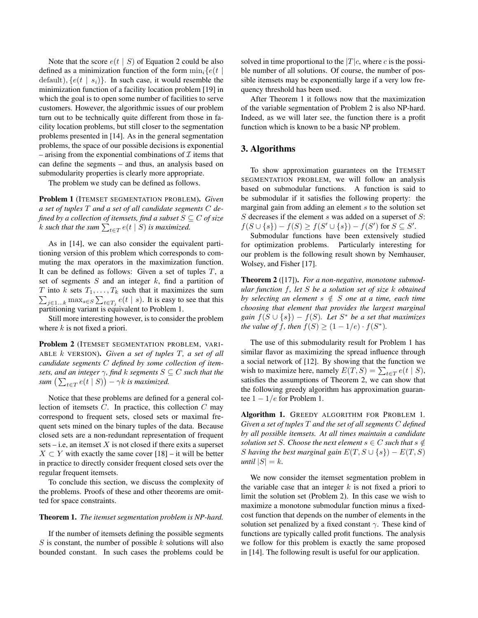Note that the score  $e(t | S)$  of Equation 2 could be also defined as a minimization function of the form  $\min_i \{e(t) |$ default),  $\{e(t \mid s_i)\}\$ . In such case, it would resemble the minimization function of a facility location problem [19] in which the goal is to open some number of facilities to serve customers. However, the algorithmic issues of our problem turn out to be technically quite different from those in facility location problems, but still closer to the segmentation problems presented in [14]. As in the general segmentation problems, the space of our possible decisions is exponential – arising from the exponential combinations of  $\mathcal I$  items that can define the segments – and thus, an analysis based on submodularity properties is clearly more appropriate.

The problem we study can be defined as follows.

Problem 1 (ITEMSET SEGMENTATION PROBLEM). *Given a set of tuples* T *and a set of all candidate segments* C *defined by a collection of itemsets, find a subset*  $S \subseteq C$  *of size*  $k$  such that the sum  $\sum_{t\in T} e(t\mid S)$  is maximized.

As in [14], we can also consider the equivalent partitioning version of this problem which corresponds to commuting the max operators in the maximization function. It can be defined as follows: Given a set of tuples  $T$ , a set of segments  $S$  and an integer  $k$ , find a partition of T into k sets  $T_1, \ldots, T_k$  such that it maximizes the sum  $\sum_{j\in 1...k} \max_{s\in S} \sum_{t\in T_j} e(t \mid s)$ . It is easy to see that this partitioning variant is equivalent to Problem 1.

Still more interesting however, is to consider the problem where  $k$  is not fixed a priori.

Problem 2 (ITEMSET SEGMENTATION PROBLEM, VARI-ABLE k VERSION). *Given a set of tuples* T*, a set of all candidate segments* C *defined by some collection of itemsets, and an integer*  $\gamma$ *, find k segments*  $S \subseteq C$  *such that the*  $sum\ \left(\sum_{t \in T} e(t \mid S)\right) - \gamma k$  is maximized.

Notice that these problems are defined for a general collection of itemsets C. In practice, this collection C may correspond to frequent sets, closed sets or maximal frequent sets mined on the binary tuples of the data. Because closed sets are a non-redundant representation of frequent sets – i.e, an itemset  $X$  is not closed if there exits a superset  $X \subset Y$  with exactly the same cover [18] – it will be better in practice to directly consider frequent closed sets over the regular frequent itemsets.

To conclude this section, we discuss the complexity of the problems. Proofs of these and other theorems are omitted for space constraints.

#### Theorem 1. *The itemset segmentation problem is NP-hard.*

If the number of itemsets defining the possible segments  $S$  is constant, the number of possible k solutions will also bounded constant. In such cases the problems could be solved in time proportional to the  $|T|c$ , where c is the possible number of all solutions. Of course, the number of possible itemsets may be exponentially large if a very low frequency threshold has been used.

After Theorem 1 it follows now that the maximization of the variable segmentation of Problem 2 is also NP-hard. Indeed, as we will later see, the function there is a profit function which is known to be a basic NP problem.

#### 3. Algorithms

To show approximation guarantees on the ITEMSET SEGMENTATION PROBLEM, we will follow an analysis based on submodular functions. A function is said to be submodular if it satisfies the following property: the marginal gain from adding an element s to the solution set  $S$  decreases if the element  $s$  was added on a superset of  $S$ :  $f(S \cup \{s\}) - f(S) \ge f(S' \cup \{s\}) - f(S')$  for  $S \subseteq S'$ .

Submodular functions have been extensively studied for optimization problems. Particularly interesting for our problem is the following result shown by Nemhauser, Wolsey, and Fisher [17].

Theorem 2 ([17]). *For a non-negative, monotone submodular function* f*, let* S *be a solution set of size* k *obtained by selecting an element*  $s \notin S$  *one at a time, each time choosing that element that provides the largest marginal gain*  $f(S \cup \{s\}) - f(S)$ *. Let*  $S^*$  *be a set that maximizes the value of f, then*  $f(S) \ge (1 - 1/e) \cdot f(S^*)$ *.* 

The use of this submodularity result for Problem 1 has similar flavor as maximizing the spread influence through a social network of [12]. By showing that the function we wish to maximize here, namely  $E(T, S) = \sum_{t \in T} e(t | S)$ , satisfies the assumptions of Theorem 2, we can show that the following greedy algorithm has approximation guarantee  $1 - 1/e$  for Problem 1.

Algorithm 1. GREEDY ALGORITHM FOR PROBLEM 1*. Given a set of tuples* T *and the set of all segments* C *defined by all possible itemsets. At all times maintain a candidate solution set* S. Choose the next element  $s \in C$  *such that*  $s \notin C$ S having the best marginal gain  $E(T, S \cup \{s\}) - E(T, S)$ *until*  $|S| = k$ *.* 

We now consider the itemset segmentation problem in the variable case that an integer  $k$  is not fixed a priori to limit the solution set (Problem 2). In this case we wish to maximize a monotone submodular function minus a fixedcost function that depends on the number of elements in the solution set penalized by a fixed constant  $\gamma$ . These kind of functions are typically called profit functions. The analysis we follow for this problem is exactly the same proposed in [14]. The following result is useful for our application.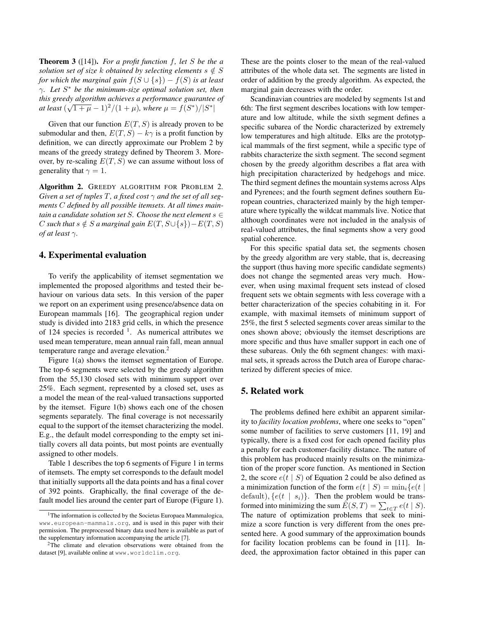Theorem 3 ([14]). *For a profit function* f*, let* S *be the a solution set of size* k *obtained by selecting elements*  $s \notin S$ *for which the marginal gain*  $f(S \cup \{s\}) - f(S)$  *is at least* γ*. Let* S <sup>∗</sup> *be the minimum-size optimal solution set, then this greedy algorithm achieves a performance guarantee of* √ *at least*  $(\sqrt{1+\mu}-1)^2/(1+\mu)$ *, where*  $\mu = f(S^*)/|S^*|$ 

Given that our function  $E(T, S)$  is already proven to be submodular and then,  $E(T, S) - k\gamma$  is a profit function by definition, we can directly approximate our Problem 2 by means of the greedy strategy defined by Theorem 3. Moreover, by re-scaling  $E(T, S)$  we can assume without loss of generality that  $\gamma = 1$ .

Algorithm 2. GREEDY ALGORITHM FOR PROBLEM 2*. Given a set of tuples*  $T$ , *a fixed cost*  $\gamma$  *and the set of all segments* C *defined by all possible itemsets. At all times maintain a candidate solution set*  $S$ *. Choose the next element*  $s \in$ C such that  $s \notin S$  a marginal gain  $E(T, S \cup \{s\}) - E(T, S)$ *of at least*  $\gamma$ *.* 

#### 4. Experimental evaluation

To verify the applicability of itemset segmentation we implemented the proposed algorithms and tested their behaviour on various data sets. In this version of the paper we report on an experiment using presence/absence data on European mammals [16]. The geographical region under study is divided into 2183 grid cells, in which the presence of 124 species is recorded  $\frac{1}{1}$ . As numerical attributes we used mean temperature, mean annual rain fall, mean annual temperature range and average elevation.<sup>2</sup>

Figure 1(a) shows the itemset segmentation of Europe. The top-6 segments were selected by the greedy algorithm from the 55,130 closed sets with minimum support over 25%. Each segment, represented by a closed set, uses as a model the mean of the real-valued transactions supported by the itemset. Figure 1(b) shows each one of the chosen segments separately. The final coverage is not necessarily equal to the support of the itemset characterizing the model. E.g., the default model corresponding to the empty set initially covers all data points, but most points are eventually assigned to other models.

Table 1 describes the top 6 segments of Figure 1 in terms of itemsets. The empty set corresponds to the default model that initially supports all the data points and has a final cover of 392 points. Graphically, the final coverage of the default model lies around the center part of Europe (Figure 1).

These are the points closer to the mean of the real-valued attributes of the whole data set. The segments are listed in order of addition by the greedy algorithm. As expected, the marginal gain decreases with the order.

Scandinavian countries are modeled by segments 1st and 6th: The first segment describes locations with low temperature and low altitude, while the sixth segment defines a specific subarea of the Nordic characterized by extremely low temperatures and high altitude. Elks are the prototypical mammals of the first segment, while a specific type of rabbits characterize the sixth segment. The second segment chosen by the greedy algorithm describes a flat area with high precipitation characterized by hedgehogs and mice. The third segment defines the mountain systems across Alps and Pyrenees; and the fourth segment defines southern European countries, characterized mainly by the high temperature where typically the wildcat mammals live. Notice that although coordinates were not included in the analysis of real-valued attributes, the final segments show a very good spatial coherence.

For this specific spatial data set, the segments chosen by the greedy algorithm are very stable, that is, decreasing the support (thus having more specific candidate segments) does not change the segmented areas very much. However, when using maximal frequent sets instead of closed frequent sets we obtain segments with less coverage with a better characterization of the species cohabiting in it. For example, with maximal itemsets of minimum support of 25%, the first 5 selected segments cover areas similar to the ones shown above; obviously the itemset descriptions are more specific and thus have smaller support in each one of these subareas. Only the 6th segment changes: with maximal sets, it spreads across the Dutch area of Europe characterized by different species of mice.

## 5. Related work

The problems defined here exhibit an apparent similarity to *facility location problems*, where one seeks to "open" some number of facilities to serve customers [11, 19] and typically, there is a fixed cost for each opened facility plus a penalty for each customer-facility distance. The nature of this problem has produced mainly results on the minimization of the proper score function. As mentioned in Section 2, the score  $e(t \mid S)$  of Equation 2 could be also defined as a minimization function of the form  $e(t | S) = min_i\{e(t |$ default),  $\{e(t \mid s_i)\}\$ . Then the problem would be transformed into minimizing the sum  $\hat{E}(S,T) = \sum_{t \in T} e(t \mid S)$ . The nature of optimization problems that seek to minimize a score function is very different from the ones presented here. A good summary of the approximation bounds for facility location problems can be found in [11]. Indeed, the approximation factor obtained in this paper can

<sup>&</sup>lt;sup>1</sup>The information is collected by the Societas Europaea Mammalogica, www.european-mammals.org, and is used in this paper with their permission. The preprocessed binary data used here is available as part of the supplementary information accompanying the article [7].

<sup>&</sup>lt;sup>2</sup>The climate and elevation observations were obtained from the dataset [9], available online at www.worldclim.org.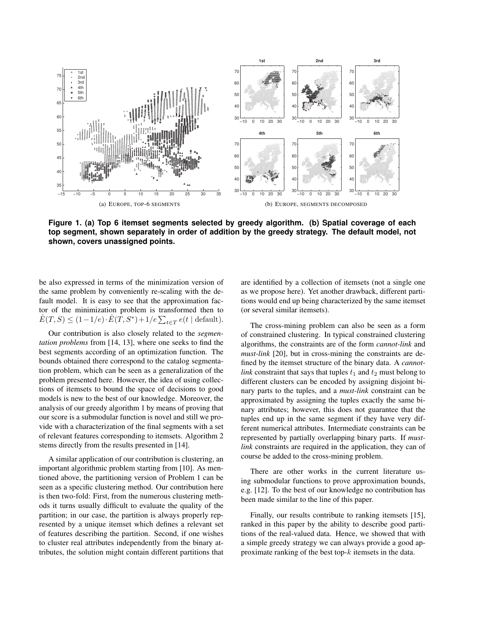

**Figure 1. (a) Top 6 itemset segments selected by greedy algorithm. (b) Spatial coverage of each top segment, shown separately in order of addition by the greedy strategy. The default model, not shown, covers unassigned points.**

be also expressed in terms of the minimization version of the same problem by conveniently re-scaling with the default model. It is easy to see that the approximation factor of the minimization problem is transformed then to  $\hat{E}(T, S) \le (1 - 1/e) \cdot \hat{E}(T, S^*) + 1/e \sum_{t \in T} e(t \mid \text{default}).$ 

Our contribution is also closely related to the *segmentation problems* from [14, 13], where one seeks to find the best segments according of an optimization function. The bounds obtained there correspond to the catalog segmentation problem, which can be seen as a generalization of the problem presented here. However, the idea of using collections of itemsets to bound the space of decisions to good models is new to the best of our knowledge. Moreover, the analysis of our greedy algorithm 1 by means of proving that our score is a submodular function is novel and still we provide with a characterization of the final segments with a set of relevant features corresponding to itemsets. Algorithm 2 stems directly from the results presented in [14].

A similar application of our contribution is clustering, an important algorithmic problem starting from [10]. As mentioned above, the partitioning version of Problem 1 can be seen as a specific clustering method. Our contribution here is then two-fold: First, from the numerous clustering methods it turns usually difficult to evaluate the quality of the partition; in our case, the partition is always properly represented by a unique itemset which defines a relevant set of features describing the partition. Second, if one wishes to cluster real attributes independently from the binary attributes, the solution might contain different partitions that are identified by a collection of itemsets (not a single one as we propose here). Yet another drawback, different partitions would end up being characterized by the same itemset (or several similar itemsets).

The cross-mining problem can also be seen as a form of constrained clustering. In typical constrained clustering algorithms, the constraints are of the form *cannot-link* and *must-link* [20], but in cross-mining the constraints are defined by the itemset structure of the binary data. A *cannotlink* constraint that says that tuples  $t_1$  and  $t_2$  must belong to different clusters can be encoded by assigning disjoint binary parts to the tuples, and a *must-link* constraint can be approximated by assigning the tuples exactly the same binary attributes; however, this does not guarantee that the tuples end up in the same segment if they have very different numerical attributes. Intermediate constraints can be represented by partially overlapping binary parts. If *mustlink* constraints are required in the application, they can of course be added to the cross-mining problem.

There are other works in the current literature using submodular functions to prove approximation bounds, e.g. [12]. To the best of our knowledge no contribution has been made similar to the line of this paper.

Finally, our results contribute to ranking itemsets [15], ranked in this paper by the ability to describe good partitions of the real-valued data. Hence, we showed that with a simple greedy strategy we can always provide a good approximate ranking of the best top- $k$  itemsets in the data.